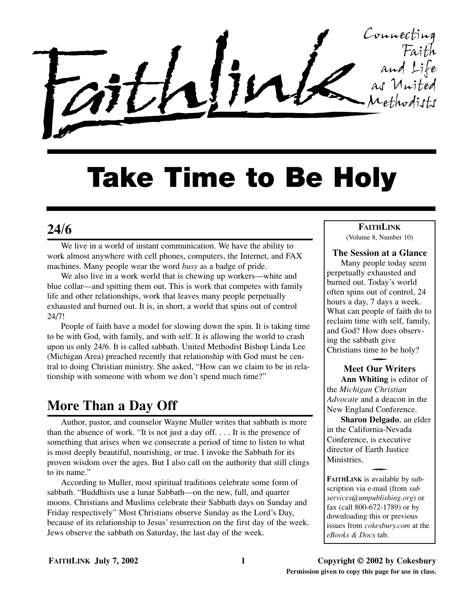

# **Take Time to Be Holy**

# **24/6**

We live in a world of instant communication. We have the ability to work almost anywhere with cell phones, computers, the Internet, and FAX machines. Many people wear the word *busy* as a badge of pride.

We also live in a work world that is chewing up workers—white and blue collar––and spitting them out. This is work that competes with family life and other relationships, work that leaves many people perpetually exhausted and burned out. It is, in short, a world that spins out of control 24/7!

People of faith have a model for slowing down the spin. It is taking time to be with God, with family, and with self. It is allowing the world to crash upon us only 24/6. It is called sabbath. United Methodist Bishop Linda Lee (Michigan Area) preached recently that relationship with God must be central to doing Christian ministry. She asked, "How can we claim to be in relationship with someone with whom we don't spend much time?"

# **More Than a Day Off**

Author, pastor, and counselor Wayne Muller writes that sabbath is more than the absence of work. "It is not just a day off. . . . It is the presence of something that arises when we consecrate a period of time to listen to what is most deeply beautiful, nourishing, or true. I invoke the Sabbath for its proven wisdom over the ages. But I also call on the authority that still clings to its name."

According to Muller, most spiritual traditions celebrate some form of sabbath. "Buddhists use a lunar Sabbath––on the new, full, and quarter moons. Christians and Muslims celebrate their Sabbath days on Sunday and Friday respectively" Most Christians observe Sunday as the Lord's Day, because of its relationship to Jesus' resurrection on the first day of the week. Jews observe the sabbath on Saturday, the last day of the week.

#### **FAITHLINK** (Volume 8, Number 10)

**The Session at a Glance** Many people today seem perpetually exhausted and burned out. Today's world often spins out of control, 24 hours a day, 7 days a week. What can people of faith do to reclaim time with self, family, and God? How does observing the sabbath give Christians time to be holy?  $\overline{\phantom{a}}$ 

#### **Meet Our Writers Ann Whiting** is editor of

the *Michigan Christian Advocate* and a deacon in the New England Conference.

**Sharon Delgado**, an elder in the California-Nevada Conference, is executive director of Earth Justice Ministries.  $\overline{\phantom{a}}$ 

**FAITHLINK** is available by subscription via e-mail (from *sub services@umpublishing.org*) or fax (call 800-672-1789) or by downloading this or previous issues from *cokesbury.com* at the *eBooks & Docs* tab.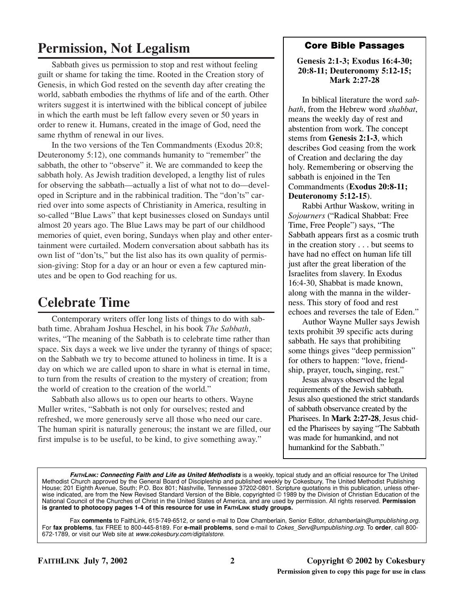# **Permission, Not Legalism**

Sabbath gives us permission to stop and rest without feeling guilt or shame for taking the time. Rooted in the Creation story of Genesis, in which God rested on the seventh day after creating the world, sabbath embodies the rhythms of life and of the earth. Other writers suggest it is intertwined with the biblical concept of jubilee in which the earth must be left fallow every seven or 50 years in order to renew it. Humans, created in the image of God, need the same rhythm of renewal in our lives.

In the two versions of the Ten Commandments (Exodus 20:8; Deuteronomy 5:12), one commands humanity to "remember" the sabbath, the other to "observe" it. We are commanded to keep the sabbath holy. As Jewish tradition developed, a lengthy list of rules for observing the sabbath––actually a list of what not to do––developed in Scripture and in the rabbinical tradition. The "don'ts" carried over into some aspects of Christianity in America, resulting in so-called "Blue Laws" that kept businesses closed on Sundays until almost 20 years ago. The Blue Laws may be part of our childhood memories of quiet, even boring, Sundays when play and other entertainment were curtailed. Modern conversation about sabbath has its own list of "don'ts," but the list also has its own quality of permission-giving: Stop for a day or an hour or even a few captured minutes and be open to God reaching for us.

# **Celebrate Time**

Contemporary writers offer long lists of things to do with sabbath time. Abraham Joshua Heschel, in his book *The Sabbath*, writes, "The meaning of the Sabbath is to celebrate time rather than space. Six days a week we live under the tyranny of things of space; on the Sabbath we try to become attuned to holiness in time. It is a day on which we are called upon to share in what is eternal in time, to turn from the results of creation to the mystery of creation; from the world of creation to the creation of the world."

Sabbath also allows us to open our hearts to others. Wayne Muller writes, "Sabbath is not only for ourselves; rested and refreshed, we more generously serve all those who need our care. The human spirit is naturally generous; the instant we are filled, our first impulse is to be useful, to be kind, to give something away."

## **Core Bible Passages**

#### **Genesis 2:1-3; Exodus 16:4-30; 20:8-11; Deuteronomy 5:12-15; Mark 2:27-28**

In biblical literature the word *sabbath*, from the Hebrew word *shabbat*, means the weekly day of rest and abstention from work. The concept stems from **Genesis 2:1-3**, which describes God ceasing from the work of Creation and declaring the day holy. Remembering or observing the sabbath is enjoined in the Ten Commandments (**Exodus 20:8-11; Deuteronomy 5:12-15**).

Rabbi Arthur Waskow, writing in *Sojourners* ("Radical Shabbat: Free Time, Free People") says, "The Sabbath appears first as a cosmic truth in the creation story . . . but seems to have had no effect on human life till just after the great liberation of the Israelites from slavery. In Exodus 16:4-30, Shabbat is made known, along with the manna in the wilderness. This story of food and rest echoes and reverses the tale of Eden."

Author Wayne Muller says Jewish texts prohibit 39 specific acts during sabbath. He says that prohibiting some things gives "deep permission" for others to happen: "love, friendship, prayer, touch**,** singing, rest."

Jesus always observed the legal requirements of the Jewish sabbath. Jesus also questioned the strict standards of sabbath observance created by the Pharisees. In **Mark 2:27-28**, Jesus chided the Pharisees by saying "The Sabbath was made for humankind, and not humankind for the Sabbath."

*FAITHLINK: Connecting Faith and Life as United Methodists* is a weekly, topical study and an official resource for The United Methodist Church approved by the General Board of Discipleship and published weekly by Cokesbury, The United Methodist Publishing House; 201 Eighth Avenue, South; P.O. Box 801; Nashville, Tennessee 37202-0801. Scripture quotations in this publication, unless otherwise indicated, are from the New Revised Standard Version of the Bible, copyrighted © 1989 by the Division of Christian Education of the National Council of the Churches of Christ in the United States of America, and are used by permission. All rights reserved. **Permission is granted to photocopy pages 1-4 of this resource for use in FAITHLINK study groups.**

Fax **comments** to FaithLink, 615-749-6512, or send e-mail to Dow Chamberlain, Senior Editor, *dchamberlain@umpublishing.org.* For **fax problems**, fax FREE to 800-445-8189. For **e-mail problems**, send e-mail to *Cokes\_Serv@umpublishing.org*. To **order**, call 800- 672-1789, or visit our Web site at *www.cokesbury.com/digitalstore*.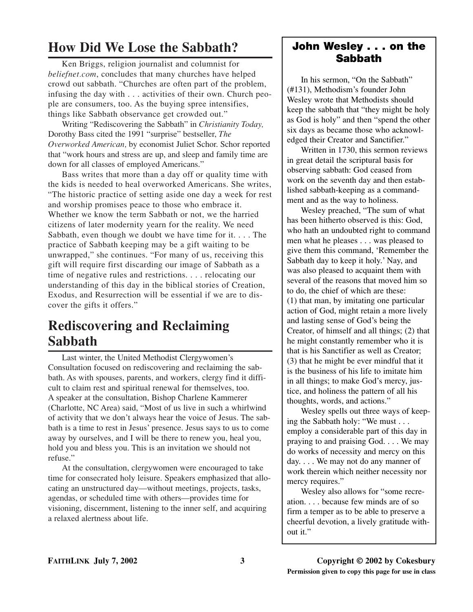# **How Did We Lose the Sabbath?**

Ken Briggs, religion journalist and columnist for *beliefnet.com*, concludes that many churches have helped crowd out sabbath. "Churches are often part of the problem, infusing the day with . . . activities of their own. Church people are consumers, too. As the buying spree intensifies, things like Sabbath observance get crowded out."

Writing "Rediscovering the Sabbath" in *Christianity Today,* Dorothy Bass cited the 1991 "surprise" bestseller, *The Overworked American,* by economist Juliet Schor. Schor reported that "work hours and stress are up, and sleep and family time are down for all classes of employed Americans."

Bass writes that more than a day off or quality time with the kids is needed to heal overworked Americans. She writes, "The historic practice of setting aside one day a week for rest and worship promises peace to those who embrace it. Whether we know the term Sabbath or not, we the harried citizens of later modernity yearn for the reality. We need Sabbath, even though we doubt we have time for it. . . . The practice of Sabbath keeping may be a gift waiting to be unwrapped," she continues. "For many of us, receiving this gift will require first discarding our image of Sabbath as a time of negative rules and restrictions. . . . relocating our understanding of this day in the biblical stories of Creation, Exodus, and Resurrection will be essential if we are to discover the gifts it offers."

# **Rediscovering and Reclaiming Sabbath**

Last winter, the United Methodist Clergywomen's Consultation focused on rediscovering and reclaiming the sabbath. As with spouses, parents, and workers, clergy find it difficult to claim rest and spiritual renewal for themselves, too. A speaker at the consultation, Bishop Charlene Kammerer (Charlotte, NC Area) said, "Most of us live in such a whirlwind of activity that we don't always hear the voice of Jesus. The sabbath is a time to rest in Jesus' presence. Jesus says to us to come away by ourselves, and I will be there to renew you, heal you, hold you and bless you. This is an invitation we should not refuse."

At the consultation, clergywomen were encouraged to take time for consecrated holy leisure. Speakers emphasized that allocating an unstructured day––without meetings, projects, tasks, agendas, or scheduled time with others––provides time for visioning, discernment, listening to the inner self, and acquiring a relaxed alertness about life.

# **John Wesley . . . on the Sabbath**

In his sermon, "On the Sabbath" (#131), Methodism's founder John Wesley wrote that Methodists should keep the sabbath that "they might be holy as God is holy" and then "spend the other six days as became those who acknowledged their Creator and Sanctifier."

Written in 1730, this sermon reviews in great detail the scriptural basis for observing sabbath: God ceased from work on the seventh day and then established sabbath-keeping as a commandment and as the way to holiness.

Wesley preached, "The sum of what has been hitherto observed is this: God, who hath an undoubted right to command men what he pleases . . . was pleased to give them this command, 'Remember the Sabbath day to keep it holy.' Nay, and was also pleased to acquaint them with several of the reasons that moved him so to do, the chief of which are these: (1) that man, by imitating one particular action of God, might retain a more lively and lasting sense of God's being the Creator, of himself and all things; (2) that he might constantly remember who it is that is his Sanctifier as well as Creator; (3) that he might be ever mindful that it is the business of his life to imitate him in all things; to make God's mercy, justice, and holiness the pattern of all his thoughts, words, and actions."

Wesley spells out three ways of keeping the Sabbath holy: "We must . . . employ a considerable part of this day in praying to and praising God. . . . We may do works of necessity and mercy on this day. . . . We may not do any manner of work therein which neither necessity nor mercy requires."

Wesley also allows for "some recreation. . . . because few minds are of so firm a temper as to be able to preserve a cheerful devotion, a lively gratitude without it."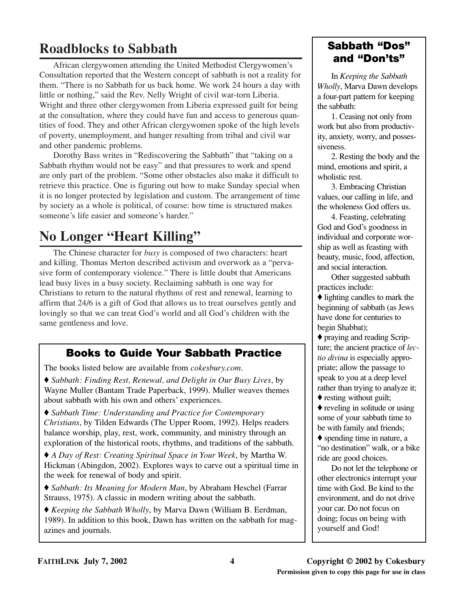# **Roadblocks to Sabbath**

African clergywomen attending the United Methodist Clergywomen's Consultation reported that the Western concept of sabbath is not a reality for them. "There is no Sabbath for us back home. We work 24 hours a day with little or nothing," said the Rev. Nelly Wright of civil war-torn Liberia. Wright and three other clergywomen from Liberia expressed guilt for being at the consultation, where they could have fun and access to generous quantities of food. They and other African clergywomen spoke of the high levels of poverty, unemployment, and hunger resulting from tribal and civil war and other pandemic problems.

Dorothy Bass writes in "Rediscovering the Sabbath" that "taking on a Sabbath rhythm would not be easy" and that pressures to work and spend are only part of the problem. "Some other obstacles also make it difficult to retrieve this practice. One is figuring out how to make Sunday special when it is no longer protected by legislation and custom. The arrangement of time by society as a whole is political, of course: how time is structured makes someone's life easier and someone's harder."

# **No Longer "Heart Killing"**

The Chinese character for *busy* is composed of two characters: heart and killing. Thomas Merton described activism and overwork as a "pervasive form of contemporary violence." There is little doubt that Americans lead busy lives in a busy society. Reclaiming sabbath is one way for Christians to return to the natural rhythms of rest and renewal, learning to affirm that 24/6 is a gift of God that allows us to treat ourselves gently and lovingly so that we can treat God's world and all God's children with the same gentleness and love.

# **Books to Guide Your Sabbath Practice**

The books listed below are available from *cokesbury.com*.

♦ *Sabbath: Finding Rest, Renewal, and Delight in Our Busy Lives*, by Wayne Muller (Bantam Trade Paperback, 1999). Muller weaves themes about sabbath with his own and others' experiences.

♦ *Sabbath Time: Understanding and Practice for Contemporary Christians*, by Tilden Edwards (The Upper Room, 1992). Helps readers balance worship, play, rest, work, community, and ministry through an exploration of the historical roots, rhythms, and traditions of the sabbath.

♦ *A Day of Rest: Creating Spiritual Space in Your Week*, by Martha W. Hickman (Abingdon, 2002). Explores ways to carve out a spiritual time in the week for renewal of body and spirit.

♦ *Sabbath: Its Meaning for Modern Man*, by Abraham Heschel (Farrar Strauss, 1975). A classic in modern writing about the sabbath.

♦ *Keeping the Sabbath Wholly*, by Marva Dawn (William B. Eerdman, 1989). In addition to this book, Dawn has written on the sabbath for magazines and journals.

# **Sabbath "Dos" and "Don'ts"**

In *Keeping the Sabbath Wholly*, Marva Dawn develops a four-part pattern for keeping the sabbath:

1. Ceasing not only from work but also from productivity, anxiety, worry, and possessiveness.

2. Resting the body and the mind, emotions and spirit, a wholistic rest.

3. Embracing Christian values, our calling in life, and the wholeness God offers us.

4. Feasting, celebrating God and God's goodness in individual and corporate worship as well as feasting with beauty, music, food, affection, and social interaction.

Other suggested sabbath practices include:

 $\blacklozenge$  lighting candles to mark the beginning of sabbath (as Jews have done for centuries to begin Shabbat);

♦ praying and reading Scripture; the ancient practice of *lectio divina* is especially appropriate; allow the passage to speak to you at a deep level rather than trying to analyze it;

♦ resting without guilt;

♦ reveling in solitude or using some of your sabbath time to be with family and friends;

♦ spending time in nature, a "no destination" walk, or a bike ride are good choices.

Do not let the telephone or other electronics interrupt your time with God. Be kind to the environment, and do not drive your car. Do not focus on doing; focus on being with yourself and God!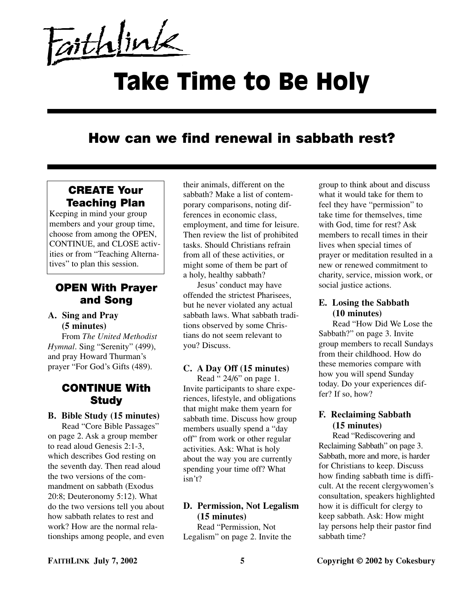Faithlink

# Take Time to Be Holy

# **How can we find renewal in sabbath rest?**

# **CREATE Your Teaching Plan**

Keeping in mind your group members and your group time, choose from among the OPEN, CONTINUE, and CLOSE activities or from "Teaching Alternatives" to plan this session.

# **OPEN With Prayer and Song**

#### **A. Sing and Pray (5 minutes)**

From *The United Methodist Hymnal*. Sing "Serenity" (499), and pray Howard Thurman's prayer "For God's Gifts (489).

# **CONTINUE With Study**

#### **B. Bible Study (15 minutes)**

Read "Core Bible Passages" on page 2. Ask a group member to read aloud Genesis 2:1-3, which describes God resting on the seventh day. Then read aloud the two versions of the commandment on sabbath (Exodus 20:8; Deuteronomy 5:12). What do the two versions tell you about how sabbath relates to rest and work? How are the normal relationships among people, and even

their animals, different on the sabbath? Make a list of contemporary comparisons, noting differences in economic class, employment, and time for leisure. Then review the list of prohibited tasks. Should Christians refrain from all of these activities, or might some of them be part of a holy, healthy sabbath?

Jesus' conduct may have offended the strictest Pharisees, but he never violated any actual sabbath laws. What sabbath traditions observed by some Christians do not seem relevant to you? Discuss.

### **C. A Day Off (15 minutes)**

Read " 24/6" on page 1. Invite participants to share experiences, lifestyle, and obligations that might make them yearn for sabbath time. Discuss how group members usually spend a "day off" from work or other regular activities. Ask: What is holy about the way you are currently spending your time off? What isn't?

# **D. Permission, Not Legalism (15 minutes)**

Read "Permission, Not Legalism" on page 2. Invite the group to think about and discuss what it would take for them to feel they have "permission" to take time for themselves, time with God, time for rest? Ask members to recall times in their lives when special times of prayer or meditation resulted in a new or renewed commitment to charity, service, mission work, or social justice actions.

# **E. Losing the Sabbath (10 minutes)**

Read "How Did We Lose the Sabbath?" on page 3. Invite group members to recall Sundays from their childhood. How do these memories compare with how you will spend Sunday today. Do your experiences differ? If so, how?

#### **F. Reclaiming Sabbath (15 minutes)**

Read "Rediscovering and Reclaiming Sabbath" on page 3. Sabbath, more and more, is harder for Christians to keep. Discuss how finding sabbath time is difficult. At the recent clergywomen's consultation, speakers highlighted how it is difficult for clergy to keep sabbath. Ask: How might lay persons help their pastor find sabbath time?